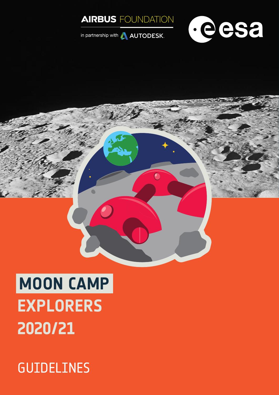



in partnership with **AUTODESK**.

# **MOON CAMP EXPLORERS 2020/21**

# GUIDELINES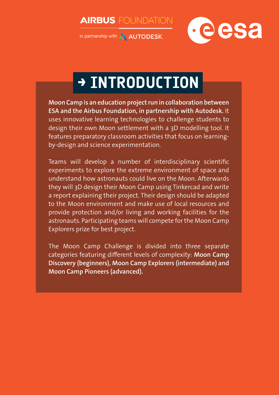**AIRBUS** FOUNDATION



in partnership with **AUTODESK**.

# **→ INTRODUCTION**

**Moon Camp is an education project run in collaboration between ESA and the Airbus Foundation, in partnership with Autodesk.** It uses innovative learning technologies to challenge students to design their own Moon settlement with a 3D modelling tool. It features preparatory classroom activities that focus on learningby-design and science experimentation.

Teams will develop a number of interdisciplinary scientific experiments to explore the extreme environment of space and understand how astronauts could live on the Moon. Afterwards they will 3D design their Moon Camp using Tinkercad and write a report explaining their project. Their design should be adapted to the Moon environment and make use of local resources and provide protection and/or living and working facilities for the astronauts. Participating teams will compete for the Moon Camp Explorers prize for best project.

The Moon Camp Challenge is divided into three separate categories featuring different levels of complexity: **Moon Camp Discovery (beginners), Moon Camp Explorers (intermediate) and Moon Camp Pioneers (advanced).**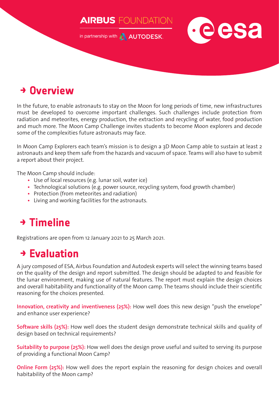

## **→ Overview**

In the future, to enable astronauts to stay on the Moon for long periods of time, new infrastructures must be developed to overcome important challenges. Such challenges include protection from radiation and meteorites, energy production, the extraction and recycling of water, food production and much more. The Moon Camp Challenge invites students to become Moon explorers and decode some of the complexities future astronauts may face.

In Moon Camp Explorers each team's mission is to design a 3D Moon Camp able to sustain at least 2 astronauts and keep them safe from the hazards and vacuum of space. Teams will also have to submit a report about their project.

The Moon Camp should include:

- **•** Use of local resources (e.g. lunar soil, water ice)
- **•** Technological solutions (e.g. power source, recycling system, food growth chamber)
- **•** Protection (from meteorites and radiation)
- **•** Living and working facilities for the astronauts.

# **→ Timeline**

Registrations are open from 12 January 2021 to 25 March 2021.

## **→ Evaluation**

A jury composed of ESA, Airbus Foundation and Autodesk experts will select the winning teams based on the quality of the design and report submitted. The design should be adapted to and feasible for the lunar environment, making use of natural features. The report must explain the design choices and overall habitability and functionality of the Moon camp. The teams should include their scientific reasoning for the choices presented.

**Innovation, creativity and inventiveness (25%):** How well does this new design "push the envelope" and enhance user experience?

**Software skills (25%):** How well does the student design demonstrate technical skills and quality of design based on technical requirements?

**Suitability to purpose (25%):** How well does the design prove useful and suited to serving its purpose of providing a functional Moon Camp?

**Online Form (25%):** How well does the report explain the reasoning for design choices and overall habitability of the Moon camp?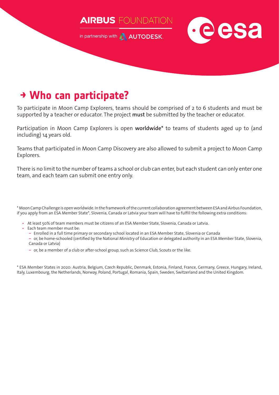

in partnership with **AUTODESK**.



### **→ Who can participate?**

To participate in Moon Camp Explorers, teams should be comprised of 2 to 6 students and must be supported by a teacher or educator. The project **must** be submitted by the teacher or educator.

Participation in Moon Camp Explorers is open **worldwide\*** to teams of students aged up to (and including) 14 years old.

Teams that participated in Moon Camp Discovery are also allowed to submit a project to Moon Camp Explorers.

There is no limit to the number of teams a school or club can enter, but each student can only enter one team, and each team can submit one entry only.

\* Moon Camp Challenge is open worldwide. In the framework of the current collaboration agreement between ESA and Airbus Foundation, if you apply from an ESA Member State\*, Slovenia, Canada or Latvia your team will have to fulfill the following extra conditions:

- At least 50% of team members must be citizens of an ESA Member State, Slovenia, Canada or Latvia.
- Each team member must be:
	- **‒** Enrolled in a full time primary or secondary school located in an ESA Member State, Slovenia or Canada

**‒** or, be home-schooled (certified by the National Ministry of Education or delegated authority in an ESA Member State, Slovenia, Canada or Latvia)

**‒** or, be a member of a club or after-school group, such as Science Club, Scouts or the like.

\* ESA Member States in 2020: Austria, Belgium, Czech Republic, Denmark, Estonia, Finland, France, Germany, Greece, Hungary, Ireland, Italy, Luxembourg, the Netherlands, Norway, Poland, Portugal, Romania, Spain, Sweden, Switzerland and the United Kingdom.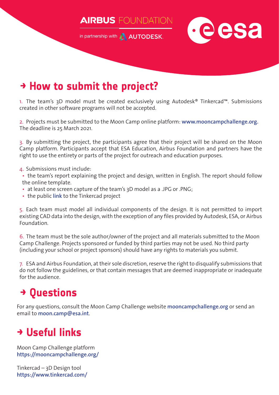**AIRBUS** FOUNDATION

in partnership with **AUTODESK**.



# **→ How to submit the project?**

1. The team's 3D model must be created exclusively using Autodesk® Tinkercad™. Submissions created in other software programs will not be accepted.

2. Projects must be submitted to the Moon Camp online platform: **[www.mooncampchallenge.org.](http://www.mooncampchallenge.org.)** The deadline is 25 March 2021.

3. By submitting the project, the participants agree that their project will be shared on the Moon Camp platform. Participants accept that ESA Education, Airbus Foundation and partners have the right to use the entirety or parts of the project for outreach and education purposes.

4. Submissions must include:

• the team's report explaining the project and design, written in English. The report should follow the online template.

- at least one screen capture of the team's 3D model as a .JPG or .PNG;
- the public **[link](https://mooncampchallenge.org/how-to-share-a-public-link-with-tinkercad/)** to the Tinkercad project

5. Each team must model all individual components of the design. It is not permitted to import existing CAD data into the design, with the exception of any files provided by Autodesk, ESA, or Airbus Foundation.

6. The team must be the sole author/owner of the project and all materials submitted to the Moon Camp Challenge. Projects sponsored or funded by third parties may not be used. No third party (including your school or project sponsors) should have any rights to materials you submit.

7. ESA and Airbus Foundation, at their sole discretion, reserve the right to disqualify submissions that do not follow the guidelines, or that contain messages that are deemed inappropriate or inadequate for the audience.

# **→ Questions**

For any questions, consult the Moon Camp Challenge website **[mooncampchallenge.org](http://mooncampchallenge.org)** or send an email to **[moon.camp@esa.int](mailto:moon.camp@esa.int)**.

## **→ Useful links**

Moon Camp Challenge platform **<https://mooncampchallenge.org/>**

Tinkercad – 3D Design tool **<https://www.tinkercad.com/>**